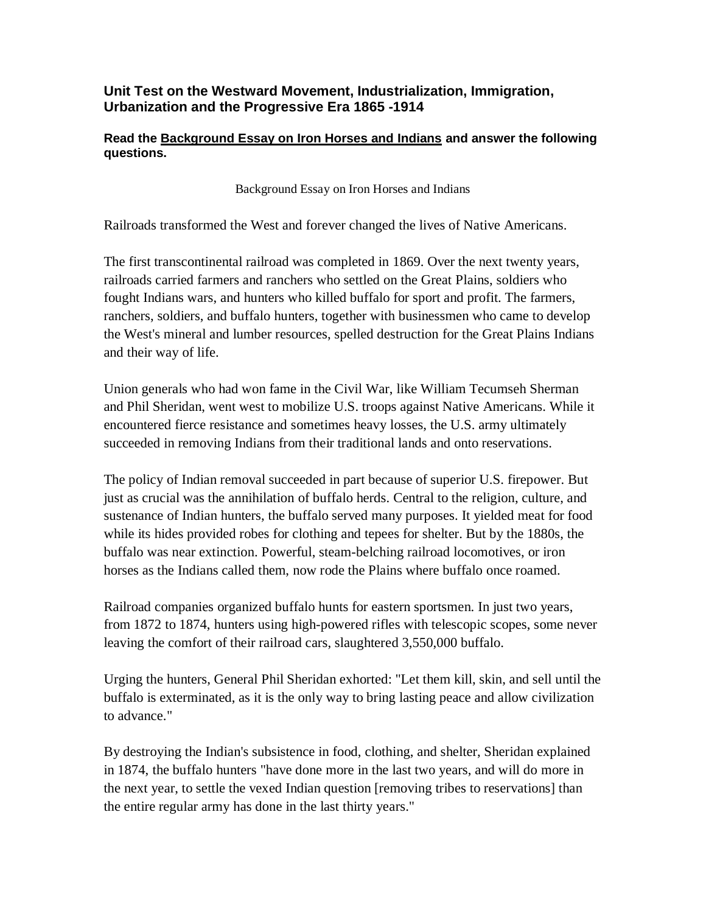## **Unit Test on the Westward Movement, Industrialization, Immigration, Urbanization and the Progressive Era 1865 -1914**

## **Read the Background Essay on Iron Horses and Indians and answer the following questions.**

Background Essay on Iron Horses and Indians

Railroads transformed the West and forever changed the lives of Native Americans.

The first transcontinental railroad was completed in 1869. Over the next twenty years, railroads carried farmers and ranchers who settled on the Great Plains, soldiers who fought Indians wars, and hunters who killed buffalo for sport and profit. The farmers, ranchers, soldiers, and buffalo hunters, together with businessmen who came to develop the West's mineral and lumber resources, spelled destruction for the Great Plains Indians and their way of life.

Union generals who had won fame in the Civil War, like William Tecumseh Sherman and Phil Sheridan, went west to mobilize U.S. troops against Native Americans. While it encountered fierce resistance and sometimes heavy losses, the U.S. army ultimately succeeded in removing Indians from their traditional lands and onto reservations.

The policy of Indian removal succeeded in part because of superior U.S. firepower. But just as crucial was the annihilation of buffalo herds. Central to the religion, culture, and sustenance of Indian hunters, the buffalo served many purposes. It yielded meat for food while its hides provided robes for clothing and tepees for shelter. But by the 1880s, the buffalo was near extinction. Powerful, steam-belching railroad locomotives, or iron horses as the Indians called them, now rode the Plains where buffalo once roamed.

Railroad companies organized buffalo hunts for eastern sportsmen. In just two years, from 1872 to 1874, hunters using high-powered rifles with telescopic scopes, some never leaving the comfort of their railroad cars, slaughtered 3,550,000 buffalo.

Urging the hunters, General Phil Sheridan exhorted: "Let them kill, skin, and sell until the buffalo is exterminated, as it is the only way to bring lasting peace and allow civilization to advance."

By destroying the Indian's subsistence in food, clothing, and shelter, Sheridan explained in 1874, the buffalo hunters "have done more in the last two years, and will do more in the next year, to settle the vexed Indian question [removing tribes to reservations] than the entire regular army has done in the last thirty years."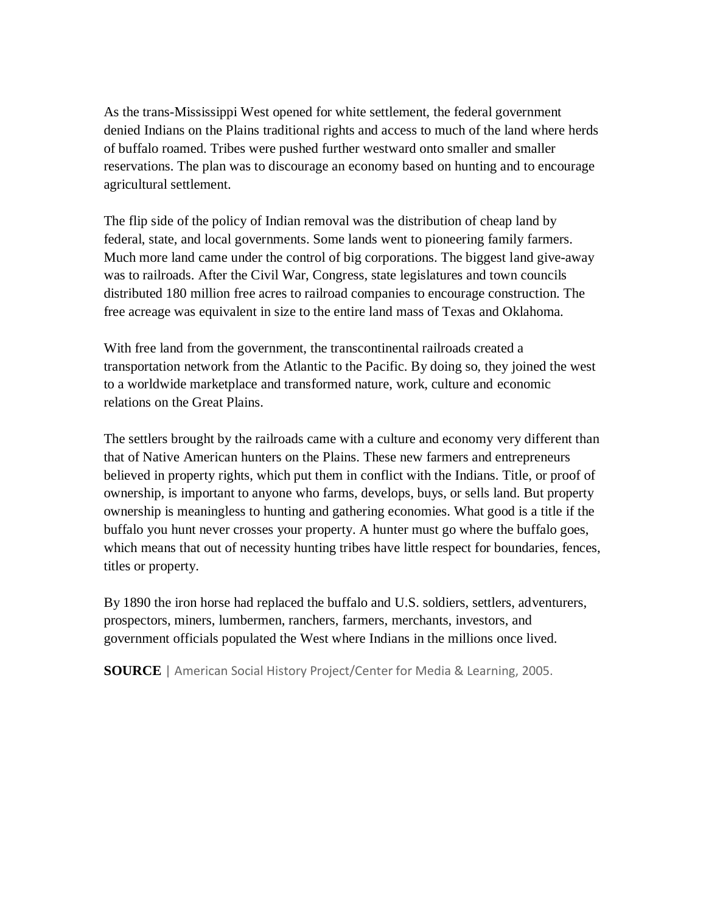As the trans-Mississippi West opened for white settlement, the federal government denied Indians on the Plains traditional rights and access to much of the land where herds of buffalo roamed. Tribes were pushed further westward onto smaller and smaller reservations. The plan was to discourage an economy based on hunting and to encourage agricultural settlement.

The flip side of the policy of Indian removal was the distribution of cheap land by federal, state, and local governments. Some lands went to pioneering family farmers. Much more land came under the control of big corporations. The biggest land give-away was to railroads. After the Civil War, Congress, state legislatures and town councils distributed 180 million free acres to railroad companies to encourage construction. The free acreage was equivalent in size to the entire land mass of Texas and Oklahoma.

With free land from the government, the transcontinental railroads created a transportation network from the Atlantic to the Pacific. By doing so, they joined the west to a worldwide marketplace and transformed nature, work, culture and economic relations on the Great Plains.

The settlers brought by the railroads came with a culture and economy very different than that of Native American hunters on the Plains. These new farmers and entrepreneurs believed in property rights, which put them in conflict with the Indians. Title, or proof of ownership, is important to anyone who farms, develops, buys, or sells land. But property ownership is meaningless to hunting and gathering economies. What good is a title if the buffalo you hunt never crosses your property. A hunter must go where the buffalo goes, which means that out of necessity hunting tribes have little respect for boundaries, fences, titles or property.

By 1890 the iron horse had replaced the buffalo and U.S. soldiers, settlers, adventurers, prospectors, miners, lumbermen, ranchers, farmers, merchants, investors, and government officials populated the West where Indians in the millions once lived.

**SOURCE** | American Social History Project/Center for Media & Learning, 2005.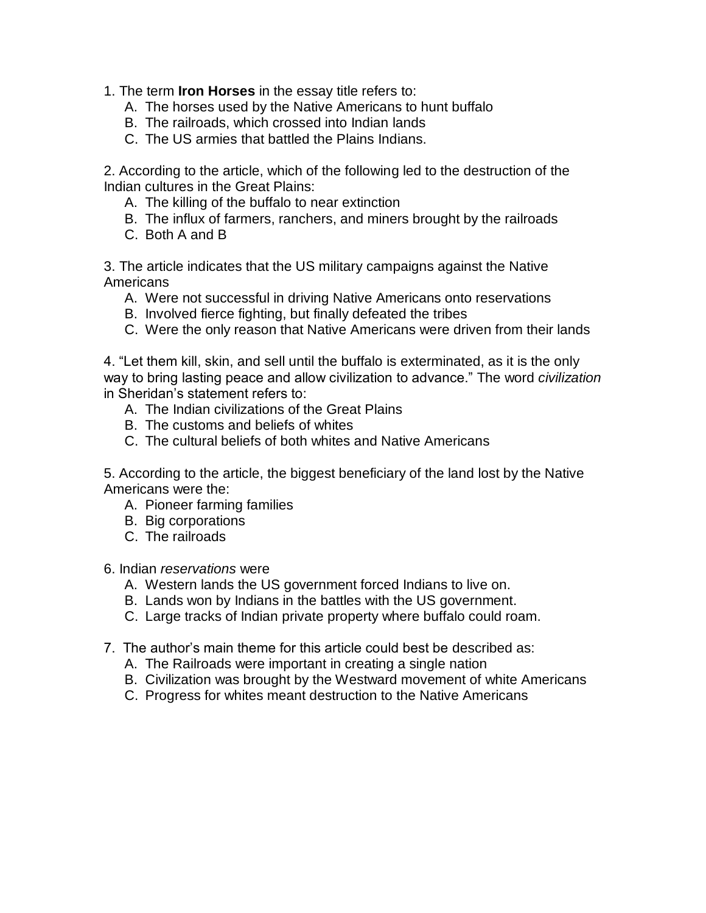1. The term **Iron Horses** in the essay title refers to:

- A. The horses used by the Native Americans to hunt buffalo
- B. The railroads, which crossed into Indian lands
- C. The US armies that battled the Plains Indians.

2. According to the article, which of the following led to the destruction of the Indian cultures in the Great Plains:

- A. The killing of the buffalo to near extinction
- B. The influx of farmers, ranchers, and miners brought by the railroads
- C. Both A and B

3. The article indicates that the US military campaigns against the Native Americans

- A. Were not successful in driving Native Americans onto reservations
- B. Involved fierce fighting, but finally defeated the tribes
- C. Were the only reason that Native Americans were driven from their lands

4. "Let them kill, skin, and sell until the buffalo is exterminated, as it is the only way to bring lasting peace and allow civilization to advance." The word *civilization* in Sheridan's statement refers to:

- A. The Indian civilizations of the Great Plains
- B. The customs and beliefs of whites
- C. The cultural beliefs of both whites and Native Americans

5. According to the article, the biggest beneficiary of the land lost by the Native Americans were the:

- A. Pioneer farming families
- B. Big corporations
- C. The railroads

6. Indian *reservations* were

- A. Western lands the US government forced Indians to live on.
- B. Lands won by Indians in the battles with the US government.
- C. Large tracks of Indian private property where buffalo could roam.
- 7. The author's main theme for this article could best be described as:
	- A. The Railroads were important in creating a single nation
	- B. Civilization was brought by the Westward movement of white Americans
	- C. Progress for whites meant destruction to the Native Americans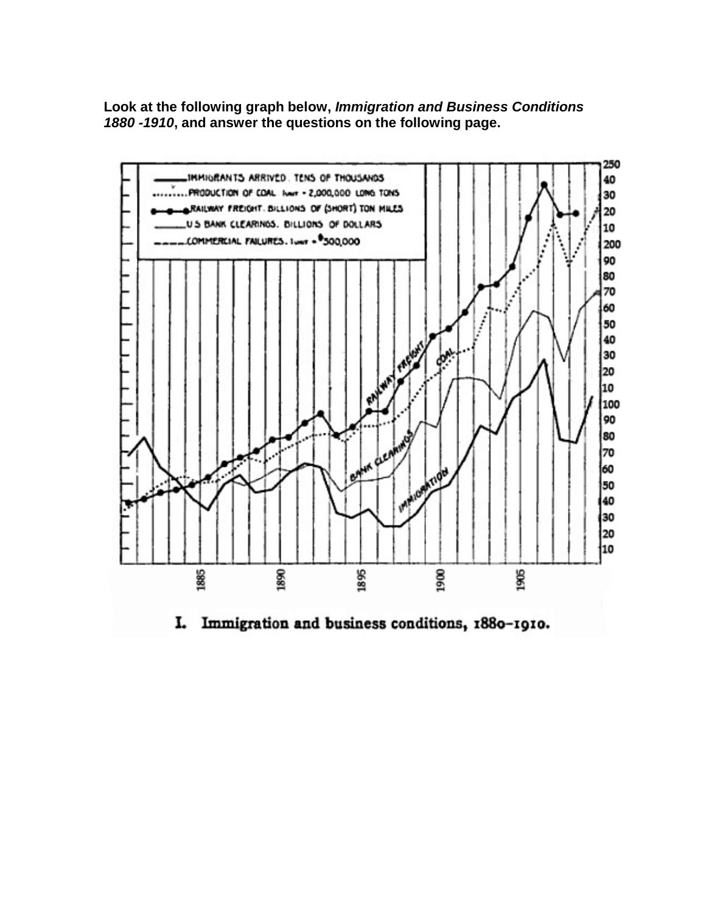**Look at the following graph below,** *Immigration and Business Conditions 1880 -1910***, and answer the questions on the following page.**



I. Immigration and business conditions, 1880-1910.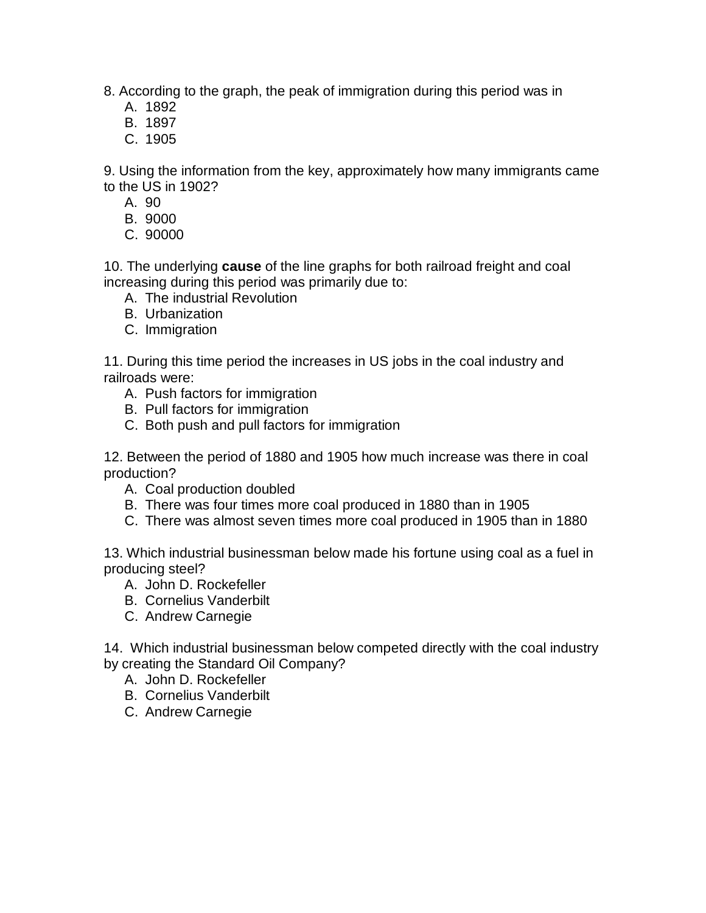8. According to the graph, the peak of immigration during this period was in

- A. 1892
- B. 1897
- C. 1905

9. Using the information from the key, approximately how many immigrants came to the US in 1902?

- A. 90
- B. 9000
- C. 90000

10. The underlying **cause** of the line graphs for both railroad freight and coal increasing during this period was primarily due to:

- A. The industrial Revolution
- B. Urbanization
- C. Immigration

11. During this time period the increases in US jobs in the coal industry and railroads were:

- A. Push factors for immigration
- B. Pull factors for immigration
- C. Both push and pull factors for immigration

12. Between the period of 1880 and 1905 how much increase was there in coal production?

- A. Coal production doubled
- B. There was four times more coal produced in 1880 than in 1905
- C. There was almost seven times more coal produced in 1905 than in 1880

13. Which industrial businessman below made his fortune using coal as a fuel in producing steel?

- A. John D. Rockefeller
- B. Cornelius Vanderbilt
- C. Andrew Carnegie

14. Which industrial businessman below competed directly with the coal industry by creating the Standard Oil Company?

- A. John D. Rockefeller
	- B. Cornelius Vanderbilt
	- C. Andrew Carnegie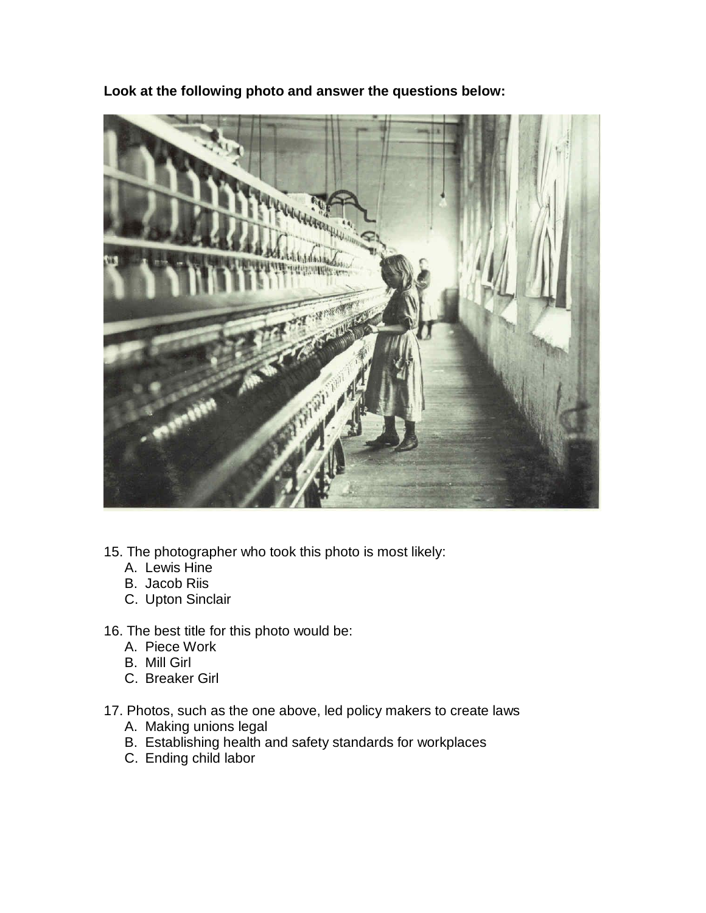

**Look at the following photo and answer the questions below:**

- 15. The photographer who took this photo is most likely:
	- A. Lewis Hine
	- B. Jacob Riis
	- C. Upton Sinclair
- 16. The best title for this photo would be:
	- A. Piece Work
	- B. Mill Girl
	- C. Breaker Girl
- 17. Photos, such as the one above, led policy makers to create laws
	- A. Making unions legal
	- B. Establishing health and safety standards for workplaces
	- C. Ending child labor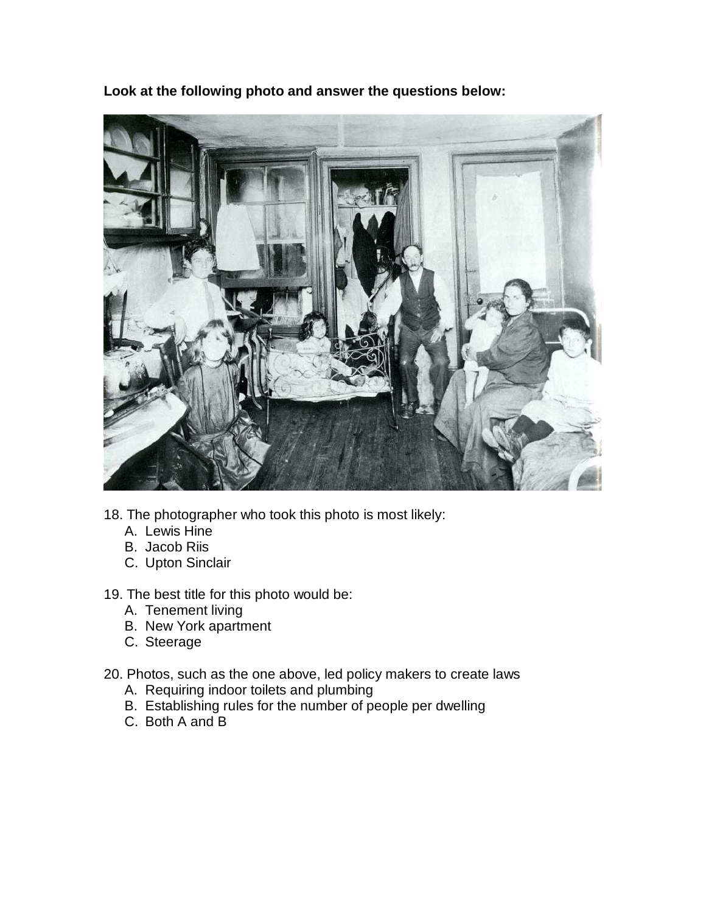**Look at the following photo and answer the questions below:**



- 18. The photographer who took this photo is most likely:
	- A. Lewis Hine
	- B. Jacob Riis
	- C. Upton Sinclair
- 19. The best title for this photo would be:
	- A. Tenement living
	- B. New York apartment
	- C. Steerage
- 20. Photos, such as the one above, led policy makers to create laws
	- A. Requiring indoor toilets and plumbing
	- B. Establishing rules for the number of people per dwelling
	- C. Both A and B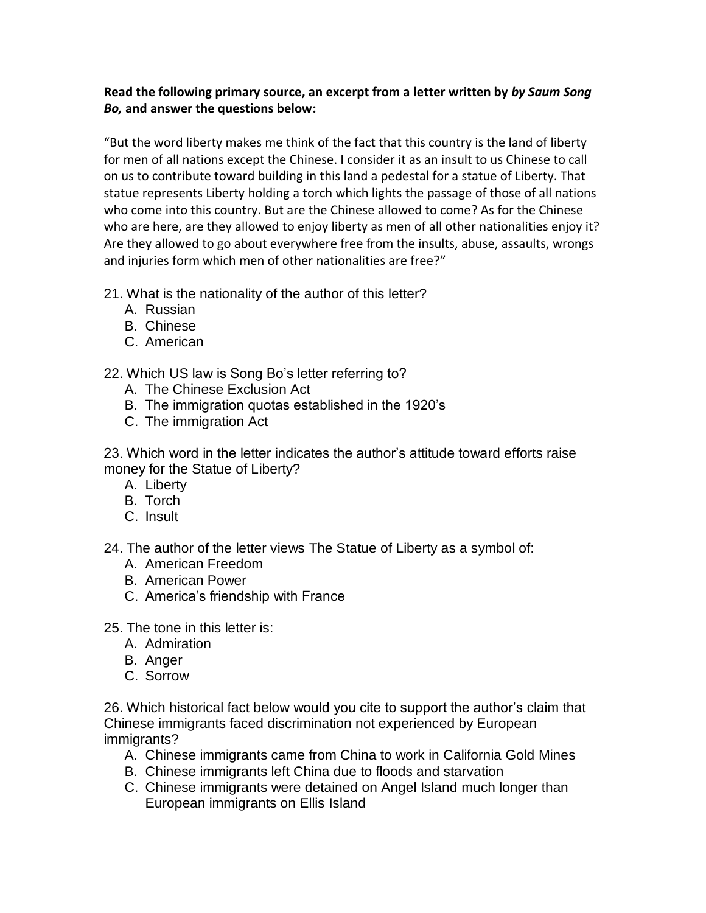## **Read the following primary source, an excerpt from a letter written by** *by Saum Song Bo,* **and answer the questions below:**

"But the word liberty makes me think of the fact that this country is the land of liberty for men of all nations except the Chinese. I consider it as an insult to us Chinese to call on us to contribute toward building in this land a pedestal for a statue of Liberty. That statue represents Liberty holding a torch which lights the passage of those of all nations who come into this country. But are the Chinese allowed to come? As for the Chinese who are here, are they allowed to enjoy liberty as men of all other nationalities enjoy it? Are they allowed to go about everywhere free from the insults, abuse, assaults, wrongs and injuries form which men of other nationalities are free?"

- 21. What is the nationality of the author of this letter?
	- A. Russian
	- B. Chinese
	- C. American

22. Which US law is Song Bo's letter referring to?

- A. The Chinese Exclusion Act
- B. The immigration quotas established in the 1920's
- C. The immigration Act

23. Which word in the letter indicates the author's attitude toward efforts raise money for the Statue of Liberty?

- A. Liberty
- B. Torch
- C. Insult

24. The author of the letter views The Statue of Liberty as a symbol of:

- A. American Freedom
- B. American Power
- C. America's friendship with France
- 25. The tone in this letter is:
	- A. Admiration
	- B. Anger
	- C. Sorrow

26. Which historical fact below would you cite to support the author's claim that Chinese immigrants faced discrimination not experienced by European immigrants?

- A. Chinese immigrants came from China to work in California Gold Mines
- B. Chinese immigrants left China due to floods and starvation
- C. Chinese immigrants were detained on Angel Island much longer than European immigrants on Ellis Island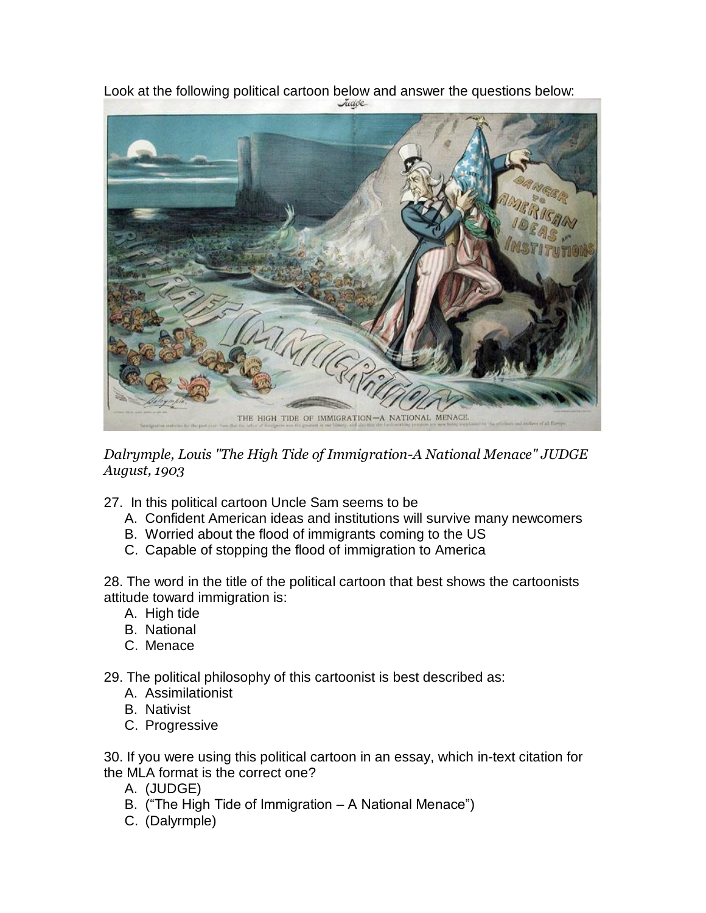

Look at the following political cartoon below and answer the questions below:<br>Look at the following political cartoon below and answer the questions below:

*Dalrymple, Louis "The High Tide of Immigration-A National Menace" JUDGE August, 1903*

- 27. In this political cartoon Uncle Sam seems to be
	- A. Confident American ideas and institutions will survive many newcomers
	- B. Worried about the flood of immigrants coming to the US
	- C. Capable of stopping the flood of immigration to America

28. The word in the title of the political cartoon that best shows the cartoonists attitude toward immigration is:

- A. High tide
- B. National
- C. Menace

29. The political philosophy of this cartoonist is best described as:

- A. Assimilationist
- B. Nativist
- C. Progressive

30. If you were using this political cartoon in an essay, which in-text citation for the MLA format is the correct one?

- A. (JUDGE)
- B. ("The High Tide of Immigration A National Menace")
- C. (Dalyrmple)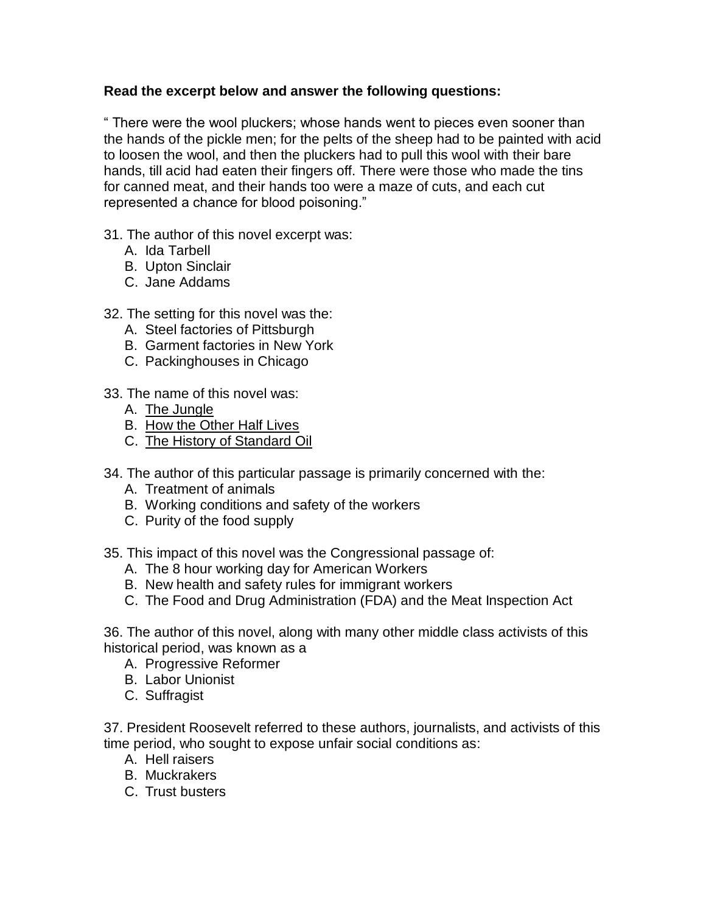## **Read the excerpt below and answer the following questions:**

" There were the wool pluckers; whose hands went to pieces even sooner than the hands of the pickle men; for the pelts of the sheep had to be painted with acid to loosen the wool, and then the pluckers had to pull this wool with their bare hands, till acid had eaten their fingers off. There were those who made the tins for canned meat, and their hands too were a maze of cuts, and each cut represented a chance for blood poisoning."

- 31. The author of this novel excerpt was:
	- A. Ida Tarbell
	- B. Upton Sinclair
	- C. Jane Addams
- 32. The setting for this novel was the:
	- A. Steel factories of Pittsburgh
	- B. Garment factories in New York
	- C. Packinghouses in Chicago
- 33. The name of this novel was:
	- A. The Jungle
	- B. How the Other Half Lives
	- C. The History of Standard Oil
- 34. The author of this particular passage is primarily concerned with the:
	- A. Treatment of animals
	- B. Working conditions and safety of the workers
	- C. Purity of the food supply
- 35. This impact of this novel was the Congressional passage of:
	- A. The 8 hour working day for American Workers
	- B. New health and safety rules for immigrant workers
	- C. The Food and Drug Administration (FDA) and the Meat Inspection Act

36. The author of this novel, along with many other middle class activists of this historical period, was known as a

- A. Progressive Reformer
- B. Labor Unionist
- C. Suffragist

37. President Roosevelt referred to these authors, journalists, and activists of this time period, who sought to expose unfair social conditions as:

- A. Hell raisers
- B. Muckrakers
- C. Trust busters